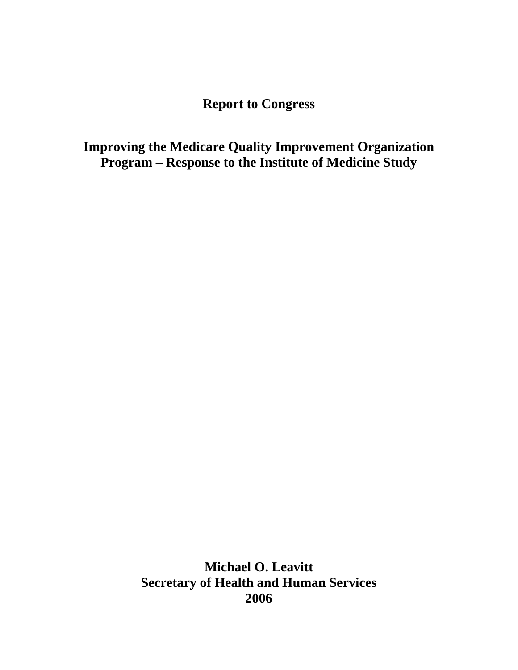# **Report to Congress**

**Improving the Medicare Quality Improvement Organization Program – Response to the Institute of Medicine Study** 

> **Michael O. Leavitt Secretary of Health and Human Services 2006**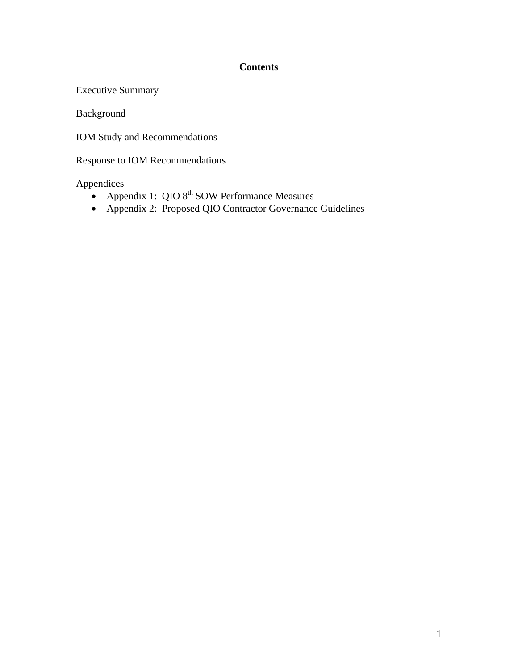## **Contents**

Executive Summary

Background

IOM Study and Recommendations

Response to IOM Recommendations

Appendices

- Appendix 1: QIO 8<sup>th</sup> SOW Performance Measures
- Appendix 2: Proposed QIO Contractor Governance Guidelines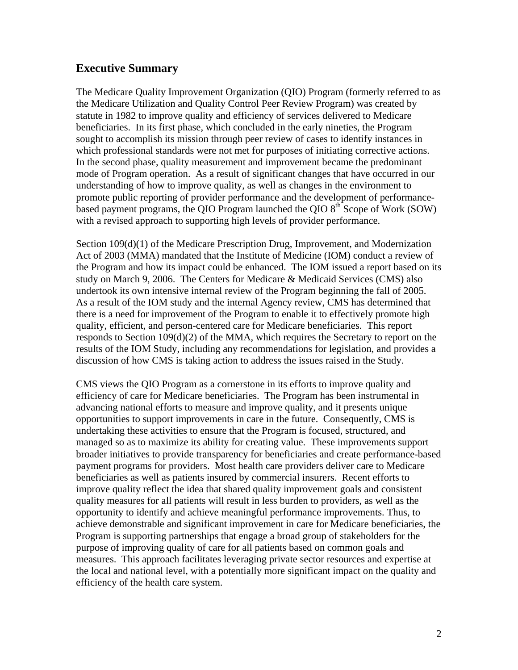## **Executive Summary**

The Medicare Quality Improvement Organization (QIO) Program (formerly referred to as the Medicare Utilization and Quality Control Peer Review Program) was created by statute in 1982 to improve quality and efficiency of services delivered to Medicare beneficiaries. In its first phase, which concluded in the early nineties, the Program sought to accomplish its mission through peer review of cases to identify instances in which professional standards were not met for purposes of initiating corrective actions. In the second phase, quality measurement and improvement became the predominant mode of Program operation. As a result of significant changes that have occurred in our understanding of how to improve quality, as well as changes in the environment to promote public reporting of provider performance and the development of performancebased payment programs, the QIO Program launched the QIO  $8<sup>th</sup>$  Scope of Work (SOW) with a revised approach to supporting high levels of provider performance.

Section 109(d)(1) of the Medicare Prescription Drug, Improvement, and Modernization Act of 2003 (MMA) mandated that the Institute of Medicine (IOM) conduct a review of the Program and how its impact could be enhanced. The IOM issued a report based on its study on March 9, 2006. The Centers for Medicare & Medicaid Services (CMS) also undertook its own intensive internal review of the Program beginning the fall of 2005. As a result of the IOM study and the internal Agency review, CMS has determined that there is a need for improvement of the Program to enable it to effectively promote high quality, efficient, and person-centered care for Medicare beneficiaries. This report responds to Section  $109(d)(2)$  of the MMA, which requires the Secretary to report on the results of the IOM Study, including any recommendations for legislation, and provides a discussion of how CMS is taking action to address the issues raised in the Study.

CMS views the QIO Program as a cornerstone in its efforts to improve quality and efficiency of care for Medicare beneficiaries. The Program has been instrumental in advancing national efforts to measure and improve quality, and it presents unique opportunities to support improvements in care in the future. Consequently, CMS is undertaking these activities to ensure that the Program is focused, structured, and managed so as to maximize its ability for creating value. These improvements support broader initiatives to provide transparency for beneficiaries and create performance-based payment programs for providers. Most health care providers deliver care to Medicare beneficiaries as well as patients insured by commercial insurers. Recent efforts to improve quality reflect the idea that shared quality improvement goals and consistent quality measures for all patients will result in less burden to providers, as well as the opportunity to identify and achieve meaningful performance improvements. Thus, to achieve demonstrable and significant improvement in care for Medicare beneficiaries, the Program is supporting partnerships that engage a broad group of stakeholders for the purpose of improving quality of care for all patients based on common goals and measures. This approach facilitates leveraging private sector resources and expertise at the local and national level, with a potentially more significant impact on the quality and efficiency of the health care system.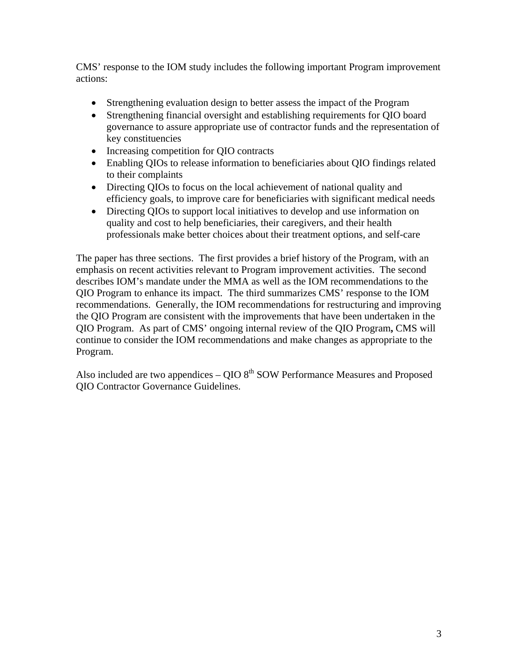CMS' response to the IOM study includes the following important Program improvement actions:

- Strengthening evaluation design to better assess the impact of the Program
- Strengthening financial oversight and establishing requirements for QIO board governance to assure appropriate use of contractor funds and the representation of key constituencies
- Increasing competition for QIO contracts
- Enabling QIOs to release information to beneficiaries about QIO findings related to their complaints
- Directing QIOs to focus on the local achievement of national quality and efficiency goals, to improve care for beneficiaries with significant medical needs
- Directing QIOs to support local initiatives to develop and use information on quality and cost to help beneficiaries, their caregivers, and their health professionals make better choices about their treatment options, and self-care

The paper has three sections. The first provides a brief history of the Program, with an emphasis on recent activities relevant to Program improvement activities. The second describes IOM's mandate under the MMA as well as the IOM recommendations to the QIO Program to enhance its impact. The third summarizes CMS' response to the IOM recommendations. Generally, the IOM recommendations for restructuring and improving the QIO Program are consistent with the improvements that have been undertaken in the QIO Program.As part of CMS' ongoing internal review of the QIO Program**,** CMS will continue to consider the IOM recommendations and make changes as appropriate to the Program.

Also included are two appendices – QIO  $8<sup>th</sup>$  SOW Performance Measures and Proposed QIO Contractor Governance Guidelines.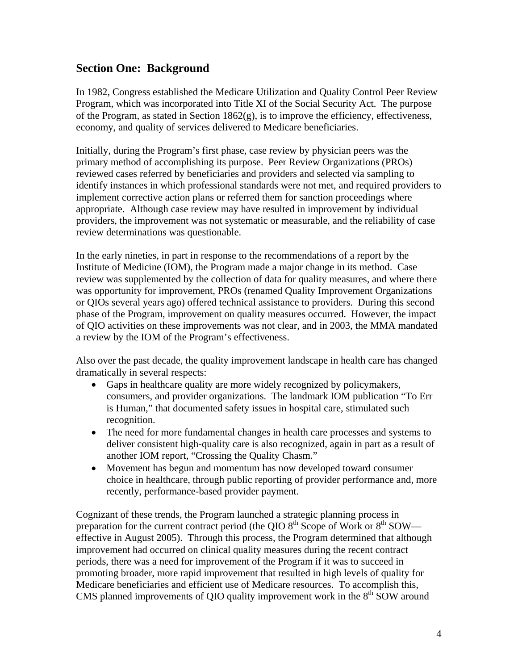# **Section One: Background**

In 1982, Congress established the Medicare Utilization and Quality Control Peer Review Program, which was incorporated into Title XI of the Social Security Act. The purpose of the Program, as stated in Section 1862(g), is to improve the efficiency, effectiveness, economy, and quality of services delivered to Medicare beneficiaries.

Initially, during the Program's first phase, case review by physician peers was the primary method of accomplishing its purpose. Peer Review Organizations (PROs) reviewed cases referred by beneficiaries and providers and selected via sampling to identify instances in which professional standards were not met, and required providers to implement corrective action plans or referred them for sanction proceedings where appropriate. Although case review may have resulted in improvement by individual providers, the improvement was not systematic or measurable, and the reliability of case review determinations was questionable.

In the early nineties, in part in response to the recommendations of a report by the Institute of Medicine (IOM), the Program made a major change in its method. Case review was supplemented by the collection of data for quality measures, and where there was opportunity for improvement, PROs (renamed Quality Improvement Organizations or QIOs several years ago) offered technical assistance to providers. During this second phase of the Program, improvement on quality measures occurred. However, the impact of QIO activities on these improvements was not clear, and in 2003, the MMA mandated a review by the IOM of the Program's effectiveness.

Also over the past decade, the quality improvement landscape in health care has changed dramatically in several respects:

- Gaps in healthcare quality are more widely recognized by policymakers, consumers, and provider organizations. The landmark IOM publication "To Err is Human," that documented safety issues in hospital care, stimulated such recognition.
- The need for more fundamental changes in health care processes and systems to deliver consistent high-quality care is also recognized, again in part as a result of another IOM report, "Crossing the Quality Chasm."
- Movement has begun and momentum has now developed toward consumer choice in healthcare, through public reporting of provider performance and, more recently, performance-based provider payment.

Cognizant of these trends, the Program launched a strategic planning process in preparation for the current contract period (the QIO  $8<sup>th</sup>$  Scope of Work or  $8<sup>th</sup>$  SOW effective in August 2005). Through this process, the Program determined that although improvement had occurred on clinical quality measures during the recent contract periods, there was a need for improvement of the Program if it was to succeed in promoting broader, more rapid improvement that resulted in high levels of quality for Medicare beneficiaries and efficient use of Medicare resources. To accomplish this, CMS planned improvements of QIO quality improvement work in the  $8<sup>th</sup>$  SOW around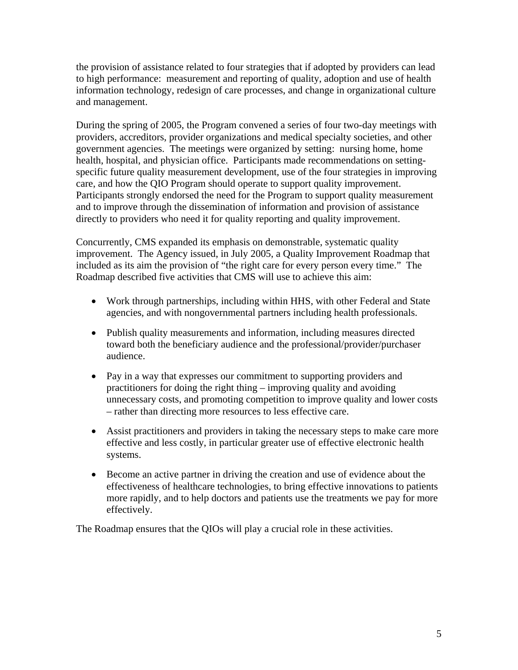the provision of assistance related to four strategies that if adopted by providers can lead to high performance: measurement and reporting of quality, adoption and use of health information technology, redesign of care processes, and change in organizational culture and management.

During the spring of 2005, the Program convened a series of four two-day meetings with providers, accreditors, provider organizations and medical specialty societies, and other government agencies. The meetings were organized by setting: nursing home, home health, hospital, and physician office. Participants made recommendations on settingspecific future quality measurement development, use of the four strategies in improving care, and how the QIO Program should operate to support quality improvement. Participants strongly endorsed the need for the Program to support quality measurement and to improve through the dissemination of information and provision of assistance directly to providers who need it for quality reporting and quality improvement.

Concurrently, CMS expanded its emphasis on demonstrable, systematic quality improvement. The Agency issued, in July 2005, a Quality Improvement Roadmap that included as its aim the provision of "the right care for every person every time." The Roadmap described five activities that CMS will use to achieve this aim:

- Work through partnerships, including within HHS, with other Federal and State agencies, and with nongovernmental partners including health professionals.
- Publish quality measurements and information, including measures directed toward both the beneficiary audience and the professional/provider/purchaser audience.
- Pay in a way that expresses our commitment to supporting providers and practitioners for doing the right thing – improving quality and avoiding unnecessary costs, and promoting competition to improve quality and lower costs – rather than directing more resources to less effective care.
- Assist practitioners and providers in taking the necessary steps to make care more effective and less costly, in particular greater use of effective electronic health systems.
- Become an active partner in driving the creation and use of evidence about the effectiveness of healthcare technologies, to bring effective innovations to patients more rapidly, and to help doctors and patients use the treatments we pay for more effectively.

The Roadmap ensures that the QIOs will play a crucial role in these activities.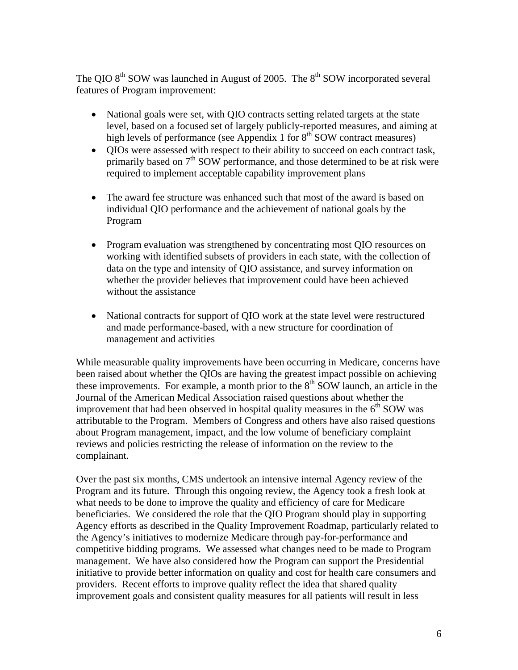The QIO  $8<sup>th</sup>$  SOW was launched in August of 2005. The  $8<sup>th</sup>$  SOW incorporated several features of Program improvement:

- National goals were set, with QIO contracts setting related targets at the state level, based on a focused set of largely publicly-reported measures, and aiming at high levels of performance (see Appendix 1 for 8<sup>th</sup> SOW contract measures)
- QIOs were assessed with respect to their ability to succeed on each contract task, primarily based on  $7<sup>th</sup>$  SOW performance, and those determined to be at risk were required to implement acceptable capability improvement plans
- The award fee structure was enhanced such that most of the award is based on individual QIO performance and the achievement of national goals by the Program
- Program evaluation was strengthened by concentrating most OIO resources on working with identified subsets of providers in each state, with the collection of data on the type and intensity of QIO assistance, and survey information on whether the provider believes that improvement could have been achieved without the assistance
- National contracts for support of QIO work at the state level were restructured and made performance-based, with a new structure for coordination of management and activities

While measurable quality improvements have been occurring in Medicare, concerns have been raised about whether the QIOs are having the greatest impact possible on achieving these improvements. For example, a month prior to the  $8<sup>th</sup>$  SOW launch, an article in the Journal of the American Medical Association raised questions about whether the improvement that had been observed in hospital quality measures in the  $6<sup>th</sup>$  SOW was attributable to the Program. Members of Congress and others have also raised questions about Program management, impact, and the low volume of beneficiary complaint reviews and policies restricting the release of information on the review to the complainant.

Over the past six months, CMS undertook an intensive internal Agency review of the Program and its future. Through this ongoing review, the Agency took a fresh look at what needs to be done to improve the quality and efficiency of care for Medicare beneficiaries. We considered the role that the QIO Program should play in supporting Agency efforts as described in the Quality Improvement Roadmap, particularly related to the Agency's initiatives to modernize Medicare through pay-for-performance and competitive bidding programs. We assessed what changes need to be made to Program management. We have also considered how the Program can support the Presidential initiative to provide better information on quality and cost for health care consumers and providers. Recent efforts to improve quality reflect the idea that shared quality improvement goals and consistent quality measures for all patients will result in less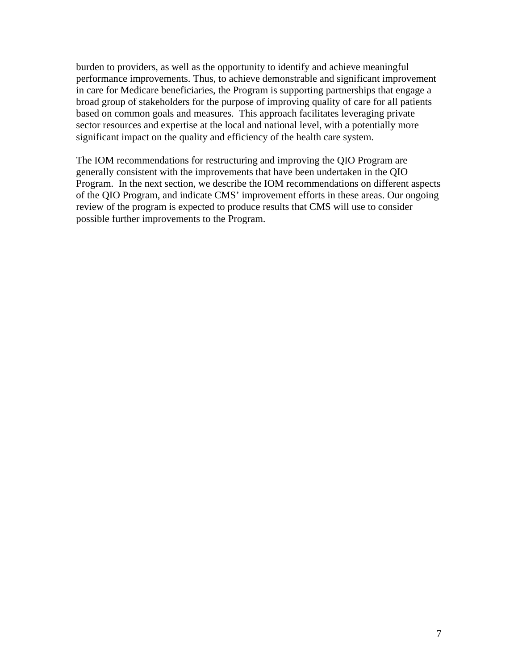burden to providers, as well as the opportunity to identify and achieve meaningful performance improvements. Thus, to achieve demonstrable and significant improvement in care for Medicare beneficiaries, the Program is supporting partnerships that engage a broad group of stakeholders for the purpose of improving quality of care for all patients based on common goals and measures. This approach facilitates leveraging private sector resources and expertise at the local and national level, with a potentially more significant impact on the quality and efficiency of the health care system.

The IOM recommendations for restructuring and improving the QIO Program are generally consistent with the improvements that have been undertaken in the QIO Program. In the next section, we describe the IOM recommendations on different aspects of the QIO Program, and indicate CMS' improvement efforts in these areas. Our ongoing review of the program is expected to produce results that CMS will use to consider possible further improvements to the Program.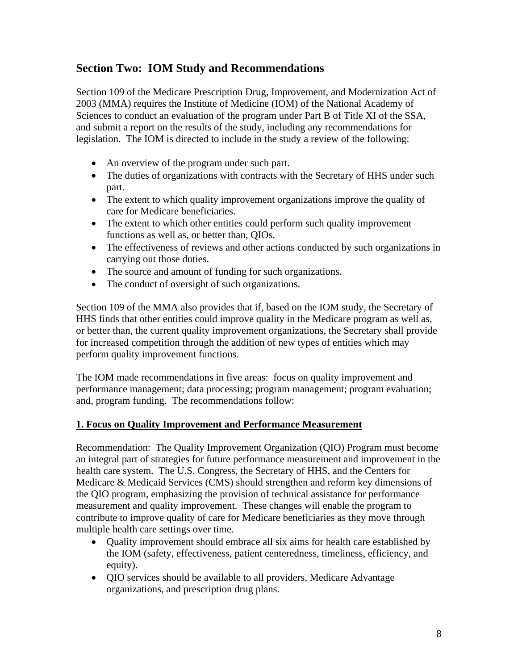# **Section Two: IOM Study and Recommendations**

Section 109 of the Medicare Prescription Drug, Improvement, and Modernization Act of 2003 (MMA) requires the Institute of Medicine (IOM) of the National Academy of Sciences to conduct an evaluation of the program under Part B of Title XI of the SSA, and submit a report on the results of the study, including any recommendations for legislation. The IOM is directed to include in the study a review of the following:

- An overview of the program under such part.
- The duties of organizations with contracts with the Secretary of HHS under such part.
- The extent to which quality improvement organizations improve the quality of care for Medicare beneficiaries.
- The extent to which other entities could perform such quality improvement functions as well as, or better than, QIOs.
- The effectiveness of reviews and other actions conducted by such organizations in carrying out those duties.
- The source and amount of funding for such organizations.
- The conduct of oversight of such organizations.

Section 109 of the MMA also provides that if, based on the IOM study, the Secretary of HHS finds that other entities could improve quality in the Medicare program as well as, or better than, the current quality improvement organizations, the Secretary shall provide for increased competition through the addition of new types of entities which may perform quality improvement functions.

The IOM made recommendations in five areas: focus on quality improvement and performance management; data processing; program management; program evaluation; and, program funding. The recommendations follow:

## **1. Focus on Quality Improvement and Performance Measurement**

Recommendation: The Quality Improvement Organization (QIO) Program must become an integral part of strategies for future performance measurement and improvement in the health care system. The U.S. Congress, the Secretary of HHS, and the Centers for Medicare & Medicaid Services (CMS) should strengthen and reform key dimensions of the QIO program, emphasizing the provision of technical assistance for performance measurement and quality improvement. These changes will enable the program to contribute to improve quality of care for Medicare beneficiaries as they move through multiple health care settings over time.

- Quality improvement should embrace all six aims for health care established by the IOM (safety, effectiveness, patient centeredness, timeliness, efficiency, and equity).
- QIO services should be available to all providers, Medicare Advantage organizations, and prescription drug plans.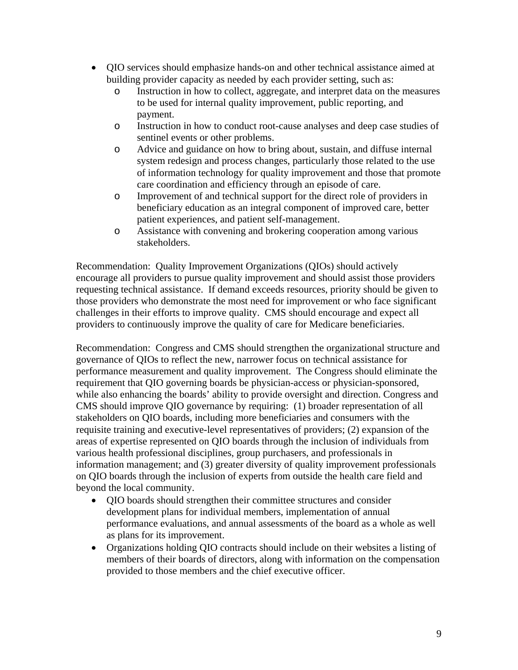- QIO services should emphasize hands-on and other technical assistance aimed at building provider capacity as needed by each provider setting, such as:
	- o Instruction in how to collect, aggregate, and interpret data on the measures to be used for internal quality improvement, public reporting, and payment.
	- o Instruction in how to conduct root-cause analyses and deep case studies of sentinel events or other problems.
	- o Advice and guidance on how to bring about, sustain, and diffuse internal system redesign and process changes, particularly those related to the use of information technology for quality improvement and those that promote care coordination and efficiency through an episode of care.
	- o Improvement of and technical support for the direct role of providers in beneficiary education as an integral component of improved care, better patient experiences, and patient self-management.
	- o Assistance with convening and brokering cooperation among various stakeholders.

Recommendation: Quality Improvement Organizations (QIOs) should actively encourage all providers to pursue quality improvement and should assist those providers requesting technical assistance. If demand exceeds resources, priority should be given to those providers who demonstrate the most need for improvement or who face significant challenges in their efforts to improve quality. CMS should encourage and expect all providers to continuously improve the quality of care for Medicare beneficiaries.

Recommendation: Congress and CMS should strengthen the organizational structure and governance of QIOs to reflect the new, narrower focus on technical assistance for performance measurement and quality improvement. The Congress should eliminate the requirement that QIO governing boards be physician-access or physician-sponsored, while also enhancing the boards' ability to provide oversight and direction. Congress and CMS should improve QIO governance by requiring: (1) broader representation of all stakeholders on QIO boards, including more beneficiaries and consumers with the requisite training and executive-level representatives of providers; (2) expansion of the areas of expertise represented on QIO boards through the inclusion of individuals from various health professional disciplines, group purchasers, and professionals in information management; and (3) greater diversity of quality improvement professionals on QIO boards through the inclusion of experts from outside the health care field and beyond the local community.

- QIO boards should strengthen their committee structures and consider development plans for individual members, implementation of annual performance evaluations, and annual assessments of the board as a whole as well as plans for its improvement.
- Organizations holding QIO contracts should include on their websites a listing of members of their boards of directors, along with information on the compensation provided to those members and the chief executive officer.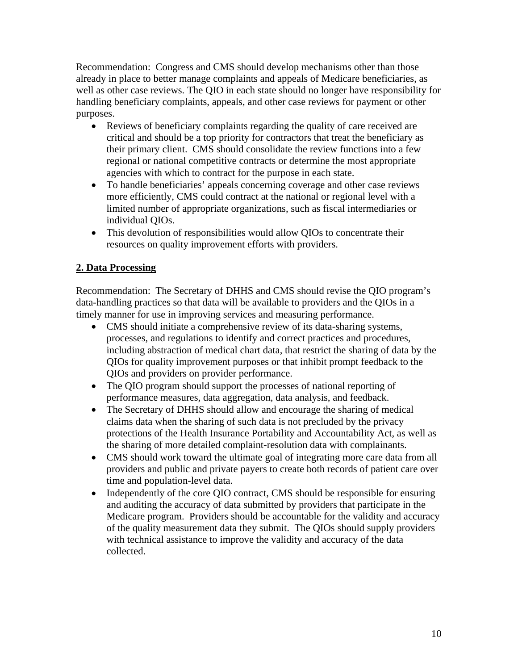Recommendation: Congress and CMS should develop mechanisms other than those already in place to better manage complaints and appeals of Medicare beneficiaries, as well as other case reviews. The QIO in each state should no longer have responsibility for handling beneficiary complaints, appeals, and other case reviews for payment or other purposes.

- Reviews of beneficiary complaints regarding the quality of care received are critical and should be a top priority for contractors that treat the beneficiary as their primary client. CMS should consolidate the review functions into a few regional or national competitive contracts or determine the most appropriate agencies with which to contract for the purpose in each state.
- To handle beneficiaries' appeals concerning coverage and other case reviews more efficiently, CMS could contract at the national or regional level with a limited number of appropriate organizations, such as fiscal intermediaries or individual QIOs.
- This devolution of responsibilities would allow QIOs to concentrate their resources on quality improvement efforts with providers.

# **2. Data Processing**

Recommendation: The Secretary of DHHS and CMS should revise the QIO program's data-handling practices so that data will be available to providers and the QIOs in a timely manner for use in improving services and measuring performance.

- CMS should initiate a comprehensive review of its data-sharing systems, processes, and regulations to identify and correct practices and procedures, including abstraction of medical chart data, that restrict the sharing of data by the QIOs for quality improvement purposes or that inhibit prompt feedback to the QIOs and providers on provider performance.
- The QIO program should support the processes of national reporting of performance measures, data aggregation, data analysis, and feedback.
- The Secretary of DHHS should allow and encourage the sharing of medical claims data when the sharing of such data is not precluded by the privacy protections of the Health Insurance Portability and Accountability Act, as well as the sharing of more detailed complaint-resolution data with complainants.
- CMS should work toward the ultimate goal of integrating more care data from all providers and public and private payers to create both records of patient care over time and population-level data.
- Independently of the core OIO contract, CMS should be responsible for ensuring and auditing the accuracy of data submitted by providers that participate in the Medicare program. Providers should be accountable for the validity and accuracy of the quality measurement data they submit. The QIOs should supply providers with technical assistance to improve the validity and accuracy of the data collected.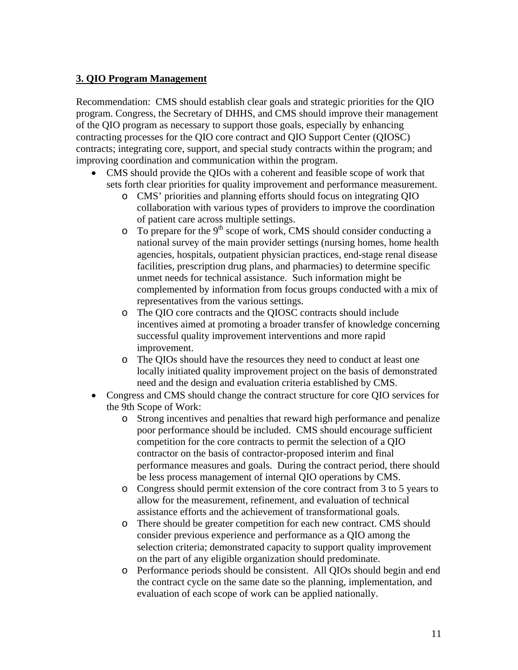## **3. QIO Program Management**

Recommendation: CMS should establish clear goals and strategic priorities for the QIO program. Congress, the Secretary of DHHS, and CMS should improve their management of the QIO program as necessary to support those goals, especially by enhancing contracting processes for the QIO core contract and QIO Support Center (QIOSC) contracts; integrating core, support, and special study contracts within the program; and improving coordination and communication within the program.

- CMS should provide the QIOs with a coherent and feasible scope of work that sets forth clear priorities for quality improvement and performance measurement.
	- o CMS' priorities and planning efforts should focus on integrating QIO collaboration with various types of providers to improve the coordination of patient care across multiple settings.
	- $\overline{a}$  To prepare for the 9<sup>th</sup> scope of work, CMS should consider conducting a national survey of the main provider settings (nursing homes, home health agencies, hospitals, outpatient physician practices, end-stage renal disease facilities, prescription drug plans, and pharmacies) to determine specific unmet needs for technical assistance. Such information might be complemented by information from focus groups conducted with a mix of representatives from the various settings.
	- o The QIO core contracts and the QIOSC contracts should include incentives aimed at promoting a broader transfer of knowledge concerning successful quality improvement interventions and more rapid improvement.
	- o The QIOs should have the resources they need to conduct at least one locally initiated quality improvement project on the basis of demonstrated need and the design and evaluation criteria established by CMS.
- Congress and CMS should change the contract structure for core QIO services for the 9th Scope of Work:
	- o Strong incentives and penalties that reward high performance and penalize poor performance should be included. CMS should encourage sufficient competition for the core contracts to permit the selection of a QIO contractor on the basis of contractor-proposed interim and final performance measures and goals. During the contract period, there should be less process management of internal QIO operations by CMS.
	- o Congress should permit extension of the core contract from 3 to 5 years to allow for the measurement, refinement, and evaluation of technical assistance efforts and the achievement of transformational goals.
	- o There should be greater competition for each new contract. CMS should consider previous experience and performance as a QIO among the selection criteria; demonstrated capacity to support quality improvement on the part of any eligible organization should predominate.
	- o Performance periods should be consistent. All QIOs should begin and end the contract cycle on the same date so the planning, implementation, and evaluation of each scope of work can be applied nationally.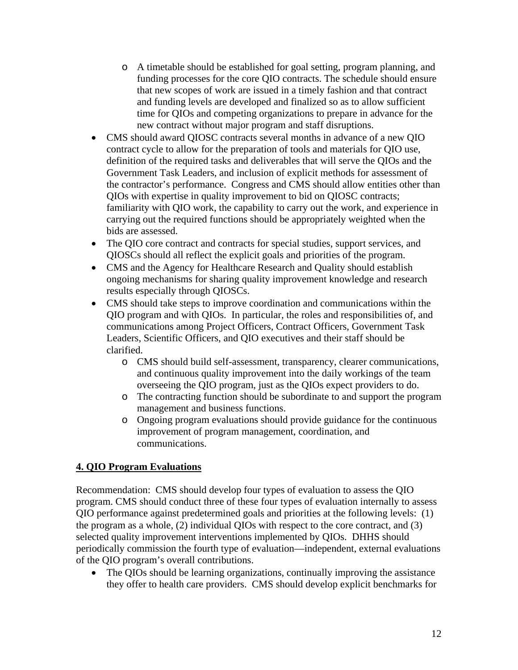- o A timetable should be established for goal setting, program planning, and funding processes for the core QIO contracts. The schedule should ensure that new scopes of work are issued in a timely fashion and that contract and funding levels are developed and finalized so as to allow sufficient time for QIOs and competing organizations to prepare in advance for the new contract without major program and staff disruptions.
- CMS should award OIOSC contracts several months in advance of a new OIO contract cycle to allow for the preparation of tools and materials for QIO use, definition of the required tasks and deliverables that will serve the QIOs and the Government Task Leaders, and inclusion of explicit methods for assessment of the contractor's performance. Congress and CMS should allow entities other than QIOs with expertise in quality improvement to bid on QIOSC contracts; familiarity with QIO work, the capability to carry out the work, and experience in carrying out the required functions should be appropriately weighted when the bids are assessed.
- The QIO core contract and contracts for special studies, support services, and QIOSCs should all reflect the explicit goals and priorities of the program.
- CMS and the Agency for Healthcare Research and Quality should establish ongoing mechanisms for sharing quality improvement knowledge and research results especially through QIOSCs.
- CMS should take steps to improve coordination and communications within the QIO program and with QIOs. In particular, the roles and responsibilities of, and communications among Project Officers, Contract Officers, Government Task Leaders, Scientific Officers, and QIO executives and their staff should be clarified.
	- o CMS should build self-assessment, transparency, clearer communications, and continuous quality improvement into the daily workings of the team overseeing the QIO program, just as the QIOs expect providers to do.
	- o The contracting function should be subordinate to and support the program management and business functions.
	- o Ongoing program evaluations should provide guidance for the continuous improvement of program management, coordination, and communications.

## **4. QIO Program Evaluations**

Recommendation: CMS should develop four types of evaluation to assess the QIO program. CMS should conduct three of these four types of evaluation internally to assess QIO performance against predetermined goals and priorities at the following levels: (1) the program as a whole, (2) individual QIOs with respect to the core contract, and (3) selected quality improvement interventions implemented by QIOs. DHHS should periodically commission the fourth type of evaluation—independent, external evaluations of the QIO program's overall contributions.

• The QIOs should be learning organizations, continually improving the assistance they offer to health care providers. CMS should develop explicit benchmarks for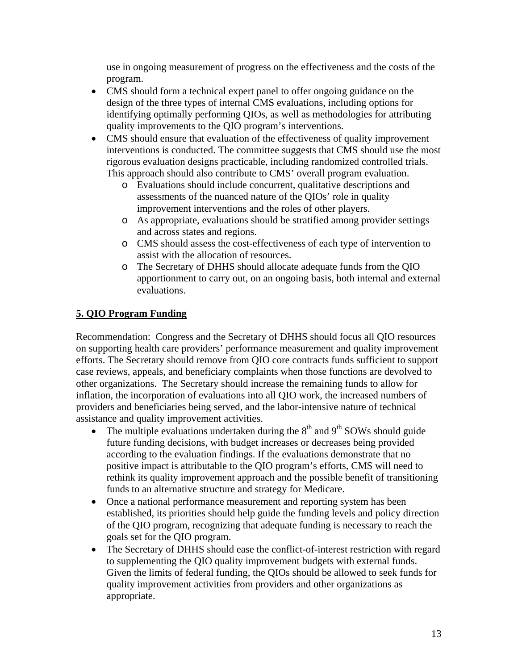use in ongoing measurement of progress on the effectiveness and the costs of the program.

- CMS should form a technical expert panel to offer ongoing guidance on the design of the three types of internal CMS evaluations, including options for identifying optimally performing QIOs, as well as methodologies for attributing quality improvements to the QIO program's interventions.
- CMS should ensure that evaluation of the effectiveness of quality improvement interventions is conducted. The committee suggests that CMS should use the most rigorous evaluation designs practicable, including randomized controlled trials. This approach should also contribute to CMS' overall program evaluation.
	- o Evaluations should include concurrent, qualitative descriptions and assessments of the nuanced nature of the QIOs' role in quality improvement interventions and the roles of other players.
	- o As appropriate, evaluations should be stratified among provider settings and across states and regions.
	- o CMS should assess the cost-effectiveness of each type of intervention to assist with the allocation of resources.
	- o The Secretary of DHHS should allocate adequate funds from the QIO apportionment to carry out, on an ongoing basis, both internal and external evaluations.

# **5. QIO Program Funding**

Recommendation: Congress and the Secretary of DHHS should focus all QIO resources on supporting health care providers' performance measurement and quality improvement efforts. The Secretary should remove from QIO core contracts funds sufficient to support case reviews, appeals, and beneficiary complaints when those functions are devolved to other organizations. The Secretary should increase the remaining funds to allow for inflation, the incorporation of evaluations into all QIO work, the increased numbers of providers and beneficiaries being served, and the labor-intensive nature of technical assistance and quality improvement activities.

- The multiple evaluations undertaken during the  $8<sup>th</sup>$  and  $9<sup>th</sup>$  SOWs should guide future funding decisions, with budget increases or decreases being provided according to the evaluation findings. If the evaluations demonstrate that no positive impact is attributable to the QIO program's efforts, CMS will need to rethink its quality improvement approach and the possible benefit of transitioning funds to an alternative structure and strategy for Medicare.
- Once a national performance measurement and reporting system has been established, its priorities should help guide the funding levels and policy direction of the QIO program, recognizing that adequate funding is necessary to reach the goals set for the QIO program.
- The Secretary of DHHS should ease the conflict-of-interest restriction with regard to supplementing the QIO quality improvement budgets with external funds. Given the limits of federal funding, the QIOs should be allowed to seek funds for quality improvement activities from providers and other organizations as appropriate.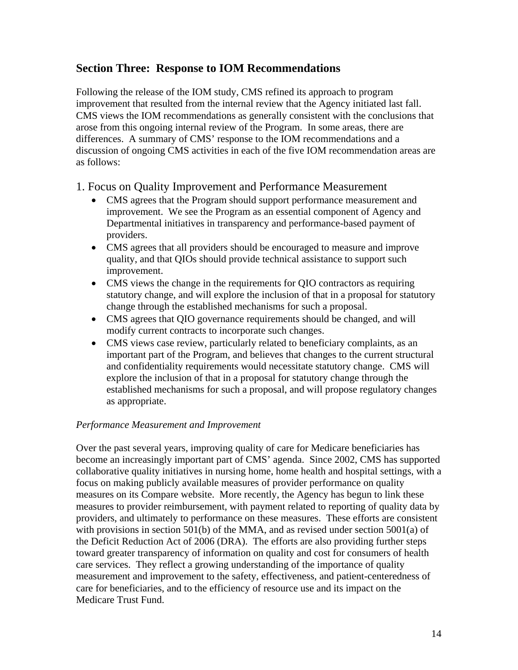# **Section Three: Response to IOM Recommendations**

Following the release of the IOM study, CMS refined its approach to program improvement that resulted from the internal review that the Agency initiated last fall. CMS views the IOM recommendations as generally consistent with the conclusions that arose from this ongoing internal review of the Program. In some areas, there are differences. A summary of CMS' response to the IOM recommendations and a discussion of ongoing CMS activities in each of the five IOM recommendation areas are as follows:

# 1. Focus on Quality Improvement and Performance Measurement

- CMS agrees that the Program should support performance measurement and improvement. We see the Program as an essential component of Agency and Departmental initiatives in transparency and performance-based payment of providers.
- CMS agrees that all providers should be encouraged to measure and improve quality, and that QIOs should provide technical assistance to support such improvement.
- CMS views the change in the requirements for QIO contractors as requiring statutory change, and will explore the inclusion of that in a proposal for statutory change through the established mechanisms for such a proposal.
- CMS agrees that QIO governance requirements should be changed, and will modify current contracts to incorporate such changes.
- CMS views case review, particularly related to beneficiary complaints, as an important part of the Program, and believes that changes to the current structural and confidentiality requirements would necessitate statutory change. CMS will explore the inclusion of that in a proposal for statutory change through the established mechanisms for such a proposal, and will propose regulatory changes as appropriate.

## *Performance Measurement and Improvement*

Over the past several years, improving quality of care for Medicare beneficiaries has become an increasingly important part of CMS' agenda. Since 2002, CMS has supported collaborative quality initiatives in nursing home, home health and hospital settings, with a focus on making publicly available measures of provider performance on quality measures on its Compare website. More recently, the Agency has begun to link these measures to provider reimbursement, with payment related to reporting of quality data by providers, and ultimately to performance on these measures. These efforts are consistent with provisions in section 501(b) of the MMA, and as revised under section 5001(a) of the Deficit Reduction Act of 2006 (DRA). The efforts are also providing further steps toward greater transparency of information on quality and cost for consumers of health care services. They reflect a growing understanding of the importance of quality measurement and improvement to the safety, effectiveness, and patient-centeredness of care for beneficiaries, and to the efficiency of resource use and its impact on the Medicare Trust Fund.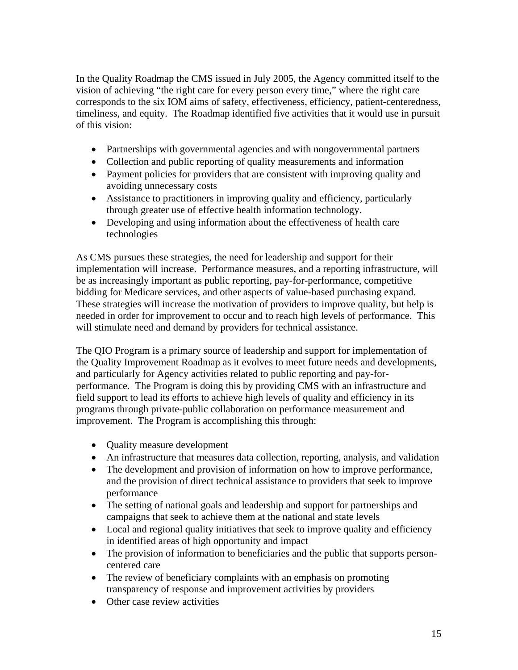In the Quality Roadmap the CMS issued in July 2005, the Agency committed itself to the vision of achieving "the right care for every person every time," where the right care corresponds to the six IOM aims of safety, effectiveness, efficiency, patient-centeredness, timeliness, and equity. The Roadmap identified five activities that it would use in pursuit of this vision:

- Partnerships with governmental agencies and with nongovernmental partners
- Collection and public reporting of quality measurements and information
- Payment policies for providers that are consistent with improving quality and avoiding unnecessary costs
- Assistance to practitioners in improving quality and efficiency, particularly through greater use of effective health information technology.
- Developing and using information about the effectiveness of health care technologies

As CMS pursues these strategies, the need for leadership and support for their implementation will increase. Performance measures, and a reporting infrastructure, will be as increasingly important as public reporting, pay-for-performance, competitive bidding for Medicare services, and other aspects of value-based purchasing expand. These strategies will increase the motivation of providers to improve quality, but help is needed in order for improvement to occur and to reach high levels of performance. This will stimulate need and demand by providers for technical assistance.

The QIO Program is a primary source of leadership and support for implementation of the Quality Improvement Roadmap as it evolves to meet future needs and developments, and particularly for Agency activities related to public reporting and pay-forperformance. The Program is doing this by providing CMS with an infrastructure and field support to lead its efforts to achieve high levels of quality and efficiency in its programs through private-public collaboration on performance measurement and improvement. The Program is accomplishing this through:

- Quality measure development
- An infrastructure that measures data collection, reporting, analysis, and validation
- The development and provision of information on how to improve performance, and the provision of direct technical assistance to providers that seek to improve performance
- The setting of national goals and leadership and support for partnerships and campaigns that seek to achieve them at the national and state levels
- Local and regional quality initiatives that seek to improve quality and efficiency in identified areas of high opportunity and impact
- The provision of information to beneficiaries and the public that supports personcentered care
- The review of beneficiary complaints with an emphasis on promoting transparency of response and improvement activities by providers
- Other case review activities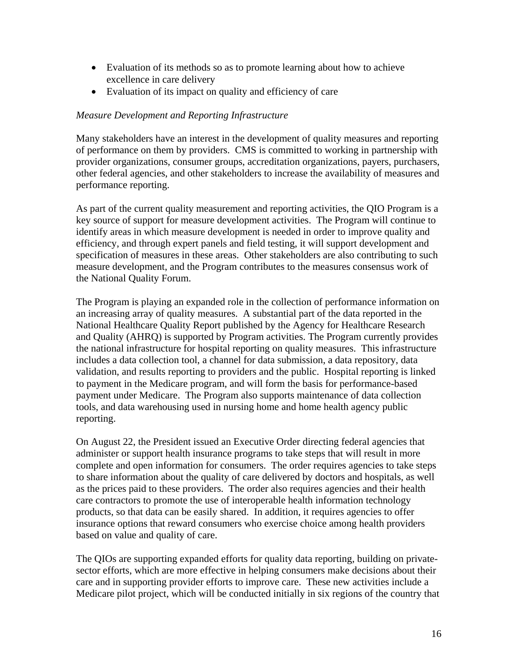- Evaluation of its methods so as to promote learning about how to achieve excellence in care delivery
- Evaluation of its impact on quality and efficiency of care

#### *Measure Development and Reporting Infrastructure*

Many stakeholders have an interest in the development of quality measures and reporting of performance on them by providers. CMS is committed to working in partnership with provider organizations, consumer groups, accreditation organizations, payers, purchasers, other federal agencies, and other stakeholders to increase the availability of measures and performance reporting.

As part of the current quality measurement and reporting activities, the QIO Program is a key source of support for measure development activities. The Program will continue to identify areas in which measure development is needed in order to improve quality and efficiency, and through expert panels and field testing, it will support development and specification of measures in these areas. Other stakeholders are also contributing to such measure development, and the Program contributes to the measures consensus work of the National Quality Forum.

The Program is playing an expanded role in the collection of performance information on an increasing array of quality measures. A substantial part of the data reported in the National Healthcare Quality Report published by the Agency for Healthcare Research and Quality (AHRQ) is supported by Program activities. The Program currently provides the national infrastructure for hospital reporting on quality measures. This infrastructure includes a data collection tool, a channel for data submission, a data repository, data validation, and results reporting to providers and the public. Hospital reporting is linked to payment in the Medicare program, and will form the basis for performance-based payment under Medicare. The Program also supports maintenance of data collection tools, and data warehousing used in nursing home and home health agency public reporting.

On August 22, the President issued an Executive Order directing federal agencies that administer or support health insurance programs to take steps that will result in more complete and open information for consumers. The order requires agencies to take steps to share information about the quality of care delivered by doctors and hospitals, as well as the prices paid to these providers. The order also requires agencies and their health care contractors to promote the use of interoperable health information technology products, so that data can be easily shared. In addition, it requires agencies to offer insurance options that reward consumers who exercise choice among health providers based on value and quality of care.

The QIOs are supporting expanded efforts for quality data reporting, building on privatesector efforts, which are more effective in helping consumers make decisions about their care and in supporting provider efforts to improve care. These new activities include a Medicare pilot project, which will be conducted initially in six regions of the country that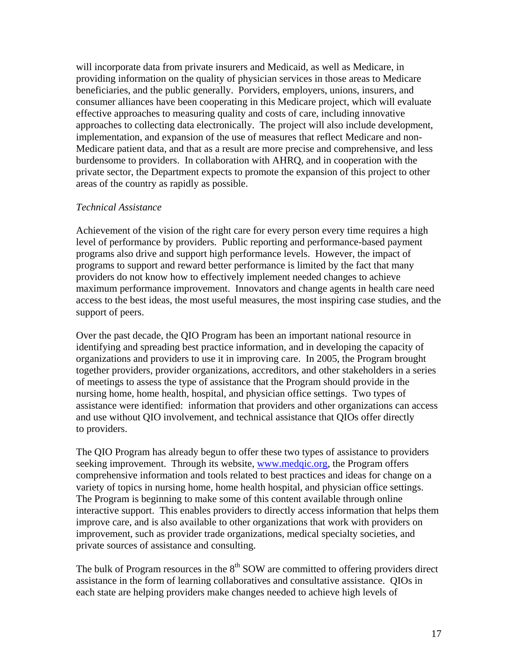will incorporate data from private insurers and Medicaid, as well as Medicare, in providing information on the quality of physician services in those areas to Medicare beneficiaries, and the public generally. Porviders, employers, unions, insurers, and consumer alliances have been cooperating in this Medicare project, which will evaluate effective approaches to measuring quality and costs of care, including innovative approaches to collecting data electronically. The project will also include development, implementation, and expansion of the use of measures that reflect Medicare and non-Medicare patient data, and that as a result are more precise and comprehensive, and less burdensome to providers. In collaboration with AHRQ, and in cooperation with the private sector, the Department expects to promote the expansion of this project to other areas of the country as rapidly as possible.

#### *Technical Assistance*

Achievement of the vision of the right care for every person every time requires a high level of performance by providers. Public reporting and performance-based payment programs also drive and support high performance levels. However, the impact of programs to support and reward better performance is limited by the fact that many providers do not know how to effectively implement needed changes to achieve maximum performance improvement. Innovators and change agents in health care need access to the best ideas, the most useful measures, the most inspiring case studies, and the support of peers.

Over the past decade, the QIO Program has been an important national resource in identifying and spreading best practice information, and in developing the capacity of organizations and providers to use it in improving care. In 2005, the Program brought together providers, provider organizations, accreditors, and other stakeholders in a series of meetings to assess the type of assistance that the Program should provide in the nursing home, home health, hospital, and physician office settings. Two types of assistance were identified: information that providers and other organizations can access and use without QIO involvement, and technical assistance that QIOs offer directly to providers.

The QIO Program has already begun to offer these two types of assistance to providers seeking improvement. Through its website, [www.medqic.org](http://www.medqic.org/), the Program offers comprehensive information and tools related to best practices and ideas for change on a variety of topics in nursing home, home health hospital, and physician office settings. The Program is beginning to make some of this content available through online interactive support. This enables providers to directly access information that helps them improve care, and is also available to other organizations that work with providers on improvement, such as provider trade organizations, medical specialty societies, and private sources of assistance and consulting.

The bulk of Program resources in the  $8<sup>th</sup>$  SOW are committed to offering providers direct assistance in the form of learning collaboratives and consultative assistance. QIOs in each state are helping providers make changes needed to achieve high levels of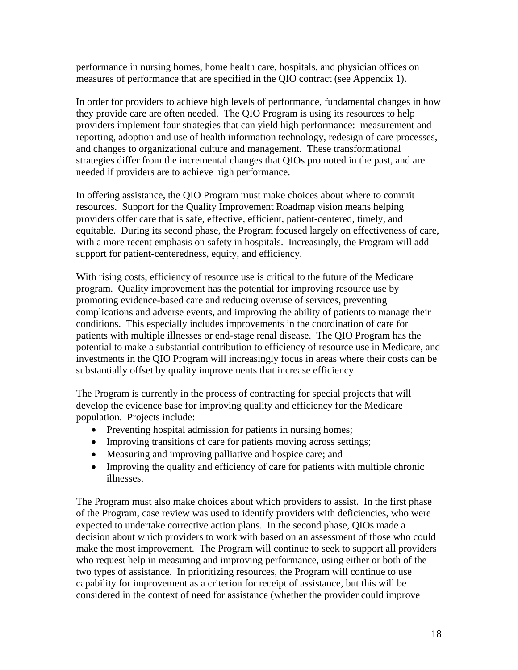performance in nursing homes, home health care, hospitals, and physician offices on measures of performance that are specified in the QIO contract (see Appendix 1).

In order for providers to achieve high levels of performance, fundamental changes in how they provide care are often needed. The QIO Program is using its resources to help providers implement four strategies that can yield high performance: measurement and reporting, adoption and use of health information technology, redesign of care processes, and changes to organizational culture and management. These transformational strategies differ from the incremental changes that QIOs promoted in the past, and are needed if providers are to achieve high performance.

In offering assistance, the QIO Program must make choices about where to commit resources. Support for the Quality Improvement Roadmap vision means helping providers offer care that is safe, effective, efficient, patient-centered, timely, and equitable. During its second phase, the Program focused largely on effectiveness of care, with a more recent emphasis on safety in hospitals. Increasingly, the Program will add support for patient-centeredness, equity, and efficiency.

With rising costs, efficiency of resource use is critical to the future of the Medicare program. Quality improvement has the potential for improving resource use by promoting evidence-based care and reducing overuse of services, preventing complications and adverse events, and improving the ability of patients to manage their conditions. This especially includes improvements in the coordination of care for patients with multiple illnesses or end-stage renal disease. The QIO Program has the potential to make a substantial contribution to efficiency of resource use in Medicare, and investments in the QIO Program will increasingly focus in areas where their costs can be substantially offset by quality improvements that increase efficiency.

The Program is currently in the process of contracting for special projects that will develop the evidence base for improving quality and efficiency for the Medicare population. Projects include:

- Preventing hospital admission for patients in nursing homes;
- Improving transitions of care for patients moving across settings;
- Measuring and improving palliative and hospice care; and
- Improving the quality and efficiency of care for patients with multiple chronic illnesses.

The Program must also make choices about which providers to assist. In the first phase of the Program, case review was used to identify providers with deficiencies, who were expected to undertake corrective action plans. In the second phase, QIOs made a decision about which providers to work with based on an assessment of those who could make the most improvement. The Program will continue to seek to support all providers who request help in measuring and improving performance, using either or both of the two types of assistance. In prioritizing resources, the Program will continue to use capability for improvement as a criterion for receipt of assistance, but this will be considered in the context of need for assistance (whether the provider could improve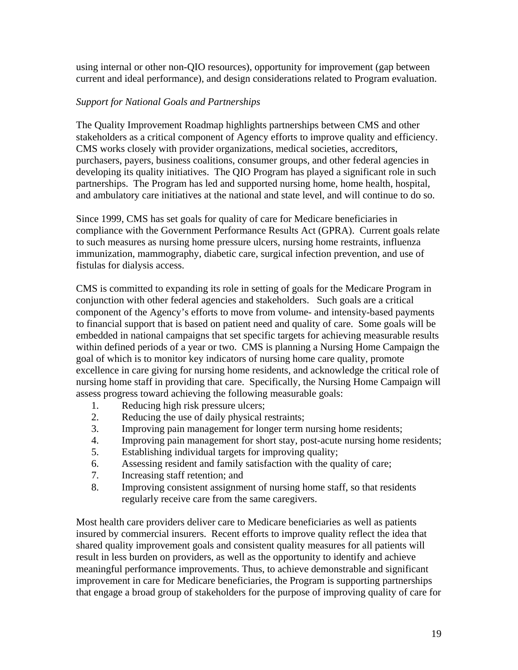using internal or other non-QIO resources), opportunity for improvement (gap between current and ideal performance), and design considerations related to Program evaluation.

#### *Support for National Goals and Partnerships*

The Quality Improvement Roadmap highlights partnerships between CMS and other stakeholders as a critical component of Agency efforts to improve quality and efficiency. CMS works closely with provider organizations, medical societies, accreditors, purchasers, payers, business coalitions, consumer groups, and other federal agencies in developing its quality initiatives. The QIO Program has played a significant role in such partnerships. The Program has led and supported nursing home, home health, hospital, and ambulatory care initiatives at the national and state level, and will continue to do so.

Since 1999, CMS has set goals for quality of care for Medicare beneficiaries in compliance with the Government Performance Results Act (GPRA). Current goals relate to such measures as nursing home pressure ulcers, nursing home restraints, influenza immunization, mammography, diabetic care, surgical infection prevention, and use of fistulas for dialysis access.

CMS is committed to expanding its role in setting of goals for the Medicare Program in conjunction with other federal agencies and stakeholders. Such goals are a critical component of the Agency's efforts to move from volume- and intensity-based payments to financial support that is based on patient need and quality of care. Some goals will be embedded in national campaigns that set specific targets for achieving measurable results within defined periods of a year or two. CMS is planning a Nursing Home Campaign the goal of which is to monitor key indicators of nursing home care quality, promote excellence in care giving for nursing home residents, and acknowledge the critical role of nursing home staff in providing that care. Specifically, the Nursing Home Campaign will assess progress toward achieving the following measurable goals:

- 1. Reducing high risk pressure ulcers;
- 2. Reducing the use of daily physical restraints;
- 3. Improving pain management for longer term nursing home residents;
- 4. Improving pain management for short stay, post-acute nursing home residents;
- 5. Establishing individual targets for improving quality;
- 6. Assessing resident and family satisfaction with the quality of care;
- 7. Increasing staff retention; and
- 8. Improving consistent assignment of nursing home staff, so that residents regularly receive care from the same caregivers.

Most health care providers deliver care to Medicare beneficiaries as well as patients insured by commercial insurers. Recent efforts to improve quality reflect the idea that shared quality improvement goals and consistent quality measures for all patients will result in less burden on providers, as well as the opportunity to identify and achieve meaningful performance improvements. Thus, to achieve demonstrable and significant improvement in care for Medicare beneficiaries, the Program is supporting partnerships that engage a broad group of stakeholders for the purpose of improving quality of care for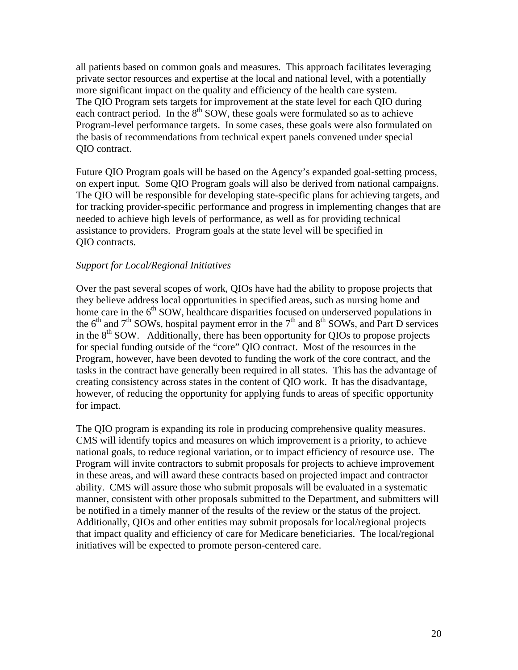all patients based on common goals and measures. This approach facilitates leveraging private sector resources and expertise at the local and national level, with a potentially more significant impact on the quality and efficiency of the health care system. The QIO Program sets targets for improvement at the state level for each QIO during each contract period. In the  $8<sup>th</sup>$  SOW, these goals were formulated so as to achieve Program-level performance targets. In some cases, these goals were also formulated on the basis of recommendations from technical expert panels convened under special QIO contract.

Future QIO Program goals will be based on the Agency's expanded goal-setting process, on expert input. Some QIO Program goals will also be derived from national campaigns. The QIO will be responsible for developing state-specific plans for achieving targets, and for tracking provider-specific performance and progress in implementing changes that are needed to achieve high levels of performance, as well as for providing technical assistance to providers. Program goals at the state level will be specified in QIO contracts.

#### *Support for Local/Regional Initiatives*

Over the past several scopes of work, QIOs have had the ability to propose projects that they believe address local opportunities in specified areas, such as nursing home and home care in the  $6<sup>th</sup>$  SOW, healthcare disparities focused on underserved populations in the  $6<sup>th</sup>$  and  $7<sup>th</sup>$  SOWs, hospital payment error in the  $7<sup>th</sup>$  and  $8<sup>th</sup>$  SOWs, and Part D services in the  $8<sup>th</sup>$  SOW. Additionally, there has been opportunity for QIOs to propose projects for special funding outside of the "core" QIO contract. Most of the resources in the Program, however, have been devoted to funding the work of the core contract, and the tasks in the contract have generally been required in all states. This has the advantage of creating consistency across states in the content of QIO work. It has the disadvantage, however, of reducing the opportunity for applying funds to areas of specific opportunity for impact.

The QIO program is expanding its role in producing comprehensive quality measures. CMS will identify topics and measures on which improvement is a priority, to achieve national goals, to reduce regional variation, or to impact efficiency of resource use. The Program will invite contractors to submit proposals for projects to achieve improvement in these areas, and will award these contracts based on projected impact and contractor ability. CMS will assure those who submit proposals will be evaluated in a systematic manner, consistent with other proposals submitted to the Department, and submitters will be notified in a timely manner of the results of the review or the status of the project. Additionally, QIOs and other entities may submit proposals for local/regional projects that impact quality and efficiency of care for Medicare beneficiaries. The local/regional initiatives will be expected to promote person-centered care.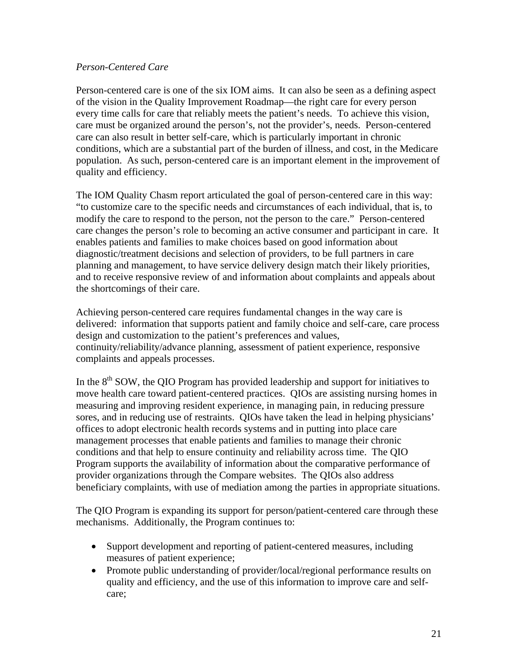#### *Person-Centered Care*

Person-centered care is one of the six IOM aims. It can also be seen as a defining aspect of the vision in the Quality Improvement Roadmap—the right care for every person every time calls for care that reliably meets the patient's needs. To achieve this vision, care must be organized around the person's, not the provider's, needs. Person-centered care can also result in better self-care, which is particularly important in chronic conditions, which are a substantial part of the burden of illness, and cost, in the Medicare population. As such, person-centered care is an important element in the improvement of quality and efficiency.

The IOM Quality Chasm report articulated the goal of person-centered care in this way: "to customize care to the specific needs and circumstances of each individual, that is, to modify the care to respond to the person, not the person to the care." Person-centered care changes the person's role to becoming an active consumer and participant in care. It enables patients and families to make choices based on good information about diagnostic/treatment decisions and selection of providers, to be full partners in care planning and management, to have service delivery design match their likely priorities, and to receive responsive review of and information about complaints and appeals about the shortcomings of their care.

Achieving person-centered care requires fundamental changes in the way care is delivered: information that supports patient and family choice and self-care, care process design and customization to the patient's preferences and values, continuity/reliability/advance planning, assessment of patient experience, responsive complaints and appeals processes.

In the  $8<sup>th</sup>$  SOW, the QIO Program has provided leadership and support for initiatives to move health care toward patient-centered practices. QIOs are assisting nursing homes in measuring and improving resident experience, in managing pain, in reducing pressure sores, and in reducing use of restraints. QIOs have taken the lead in helping physicians' offices to adopt electronic health records systems and in putting into place care management processes that enable patients and families to manage their chronic conditions and that help to ensure continuity and reliability across time. The QIO Program supports the availability of information about the comparative performance of provider organizations through the Compare websites. The QIOs also address beneficiary complaints, with use of mediation among the parties in appropriate situations.

The QIO Program is expanding its support for person/patient-centered care through these mechanisms. Additionally, the Program continues to:

- Support development and reporting of patient-centered measures, including measures of patient experience;
- Promote public understanding of provider/local/regional performance results on quality and efficiency, and the use of this information to improve care and selfcare;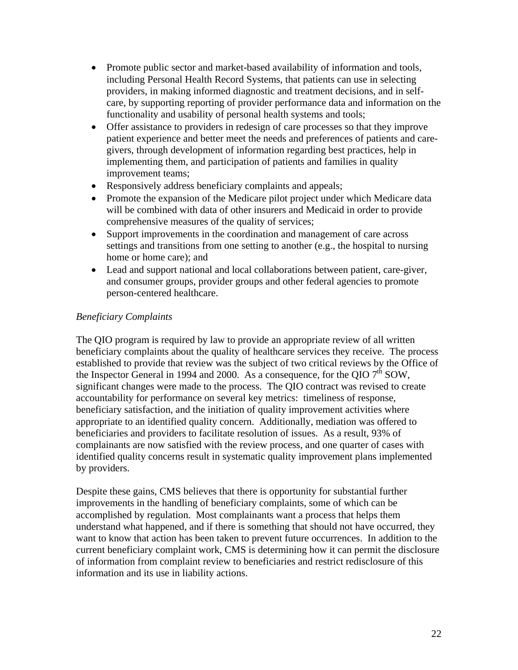- Promote public sector and market-based availability of information and tools, including Personal Health Record Systems, that patients can use in selecting providers, in making informed diagnostic and treatment decisions, and in selfcare, by supporting reporting of provider performance data and information on the functionality and usability of personal health systems and tools;
- Offer assistance to providers in redesign of care processes so that they improve patient experience and better meet the needs and preferences of patients and caregivers, through development of information regarding best practices, help in implementing them, and participation of patients and families in quality improvement teams;
- Responsively address beneficiary complaints and appeals;
- Promote the expansion of the Medicare pilot project under which Medicare data will be combined with data of other insurers and Medicaid in order to provide comprehensive measures of the quality of services;
- Support improvements in the coordination and management of care across settings and transitions from one setting to another (e.g., the hospital to nursing home or home care); and
- Lead and support national and local collaborations between patient, care-giver, and consumer groups, provider groups and other federal agencies to promote person-centered healthcare.

## *Beneficiary Complaints*

The QIO program is required by law to provide an appropriate review of all written beneficiary complaints about the quality of healthcare services they receive. The process established to provide that review was the subject of two critical reviews by the Office of the Inspector General in 1994 and 2000. As a consequence, for the QIO  $7<sup>th</sup>$  SOW, significant changes were made to the process. The QIO contract was revised to create accountability for performance on several key metrics: timeliness of response, beneficiary satisfaction, and the initiation of quality improvement activities where appropriate to an identified quality concern. Additionally, mediation was offered to beneficiaries and providers to facilitate resolution of issues. As a result, 93% of complainants are now satisfied with the review process, and one quarter of cases with identified quality concerns result in systematic quality improvement plans implemented by providers.

Despite these gains, CMS believes that there is opportunity for substantial further improvements in the handling of beneficiary complaints, some of which can be accomplished by regulation. Most complainants want a process that helps them understand what happened, and if there is something that should not have occurred, they want to know that action has been taken to prevent future occurrences. In addition to the current beneficiary complaint work, CMS is determining how it can permit the disclosure of information from complaint review to beneficiaries and restrict redisclosure of this information and its use in liability actions.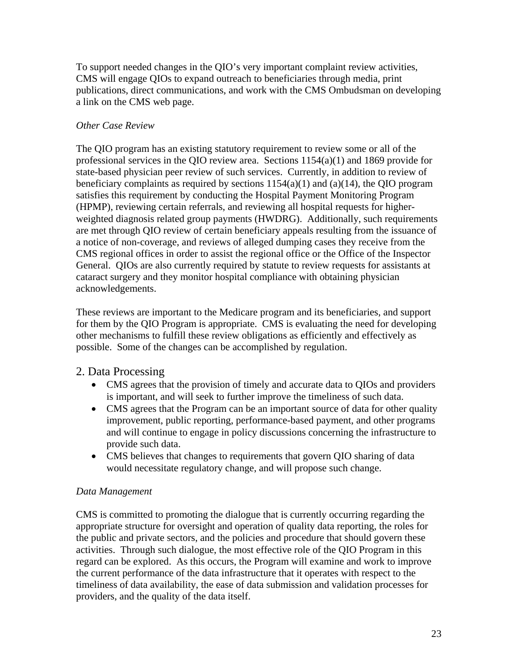To support needed changes in the QIO's very important complaint review activities, CMS will engage QIOs to expand outreach to beneficiaries through media, print publications, direct communications, and work with the CMS Ombudsman on developing a link on the CMS web page.

## *Other Case Review*

The QIO program has an existing statutory requirement to review some or all of the professional services in the QIO review area. Sections 1154(a)(1) and 1869 provide for state-based physician peer review of such services. Currently, in addition to review of beneficiary complaints as required by sections  $1154(a)(1)$  and  $(a)(14)$ , the QIO program satisfies this requirement by conducting the Hospital Payment Monitoring Program (HPMP), reviewing certain referrals, and reviewing all hospital requests for higherweighted diagnosis related group payments (HWDRG). Additionally, such requirements are met through QIO review of certain beneficiary appeals resulting from the issuance of a notice of non-coverage, and reviews of alleged dumping cases they receive from the CMS regional offices in order to assist the regional office or the Office of the Inspector General. QIOs are also currently required by statute to review requests for assistants at cataract surgery and they monitor hospital compliance with obtaining physician acknowledgements.

These reviews are important to the Medicare program and its beneficiaries, and support for them by the QIO Program is appropriate. CMS is evaluating the need for developing other mechanisms to fulfill these review obligations as efficiently and effectively as possible. Some of the changes can be accomplished by regulation.

## 2. Data Processing

- CMS agrees that the provision of timely and accurate data to QIOs and providers is important, and will seek to further improve the timeliness of such data.
- CMS agrees that the Program can be an important source of data for other quality improvement, public reporting, performance-based payment, and other programs and will continue to engage in policy discussions concerning the infrastructure to provide such data.
- CMS believes that changes to requirements that govern QIO sharing of data would necessitate regulatory change, and will propose such change.

## *Data Management*

CMS is committed to promoting the dialogue that is currently occurring regarding the appropriate structure for oversight and operation of quality data reporting, the roles for the public and private sectors, and the policies and procedure that should govern these activities. Through such dialogue, the most effective role of the QIO Program in this regard can be explored. As this occurs, the Program will examine and work to improve the current performance of the data infrastructure that it operates with respect to the timeliness of data availability, the ease of data submission and validation processes for providers, and the quality of the data itself.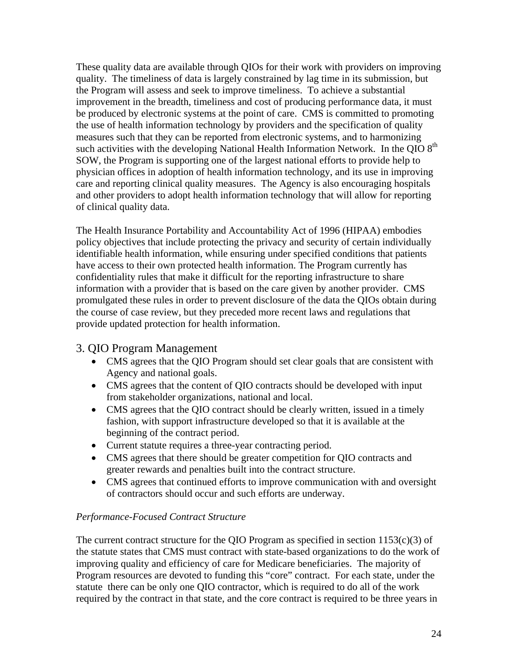These quality data are available through QIOs for their work with providers on improving quality. The timeliness of data is largely constrained by lag time in its submission, but the Program will assess and seek to improve timeliness. To achieve a substantial improvement in the breadth, timeliness and cost of producing performance data, it must be produced by electronic systems at the point of care. CMS is committed to promoting the use of health information technology by providers and the specification of quality measures such that they can be reported from electronic systems, and to harmonizing such activities with the developing National Health Information Network. In the OIO  $8<sup>th</sup>$ SOW, the Program is supporting one of the largest national efforts to provide help to physician offices in adoption of health information technology, and its use in improving care and reporting clinical quality measures. The Agency is also encouraging hospitals and other providers to adopt health information technology that will allow for reporting of clinical quality data.

The Health Insurance Portability and Accountability Act of 1996 (HIPAA) embodies policy objectives that include protecting the privacy and security of certain individually identifiable health information, while ensuring under specified conditions that patients have access to their own protected health information. The Program currently has confidentiality rules that make it difficult for the reporting infrastructure to share information with a provider that is based on the care given by another provider. CMS promulgated these rules in order to prevent disclosure of the data the QIOs obtain during the course of case review, but they preceded more recent laws and regulations that provide updated protection for health information.

## 3. QIO Program Management

- CMS agrees that the QIO Program should set clear goals that are consistent with Agency and national goals.
- CMS agrees that the content of QIO contracts should be developed with input from stakeholder organizations, national and local.
- CMS agrees that the QIO contract should be clearly written, issued in a timely fashion, with support infrastructure developed so that it is available at the beginning of the contract period.
- Current statute requires a three-year contracting period.
- CMS agrees that there should be greater competition for QIO contracts and greater rewards and penalties built into the contract structure.
- CMS agrees that continued efforts to improve communication with and oversight of contractors should occur and such efforts are underway.

## *Performance-Focused Contract Structure*

The current contract structure for the QIO Program as specified in section  $1153(c)(3)$  of the statute states that CMS must contract with state-based organizations to do the work of improving quality and efficiency of care for Medicare beneficiaries. The majority of Program resources are devoted to funding this "core" contract. For each state, under the statute there can be only one QIO contractor, which is required to do all of the work required by the contract in that state, and the core contract is required to be three years in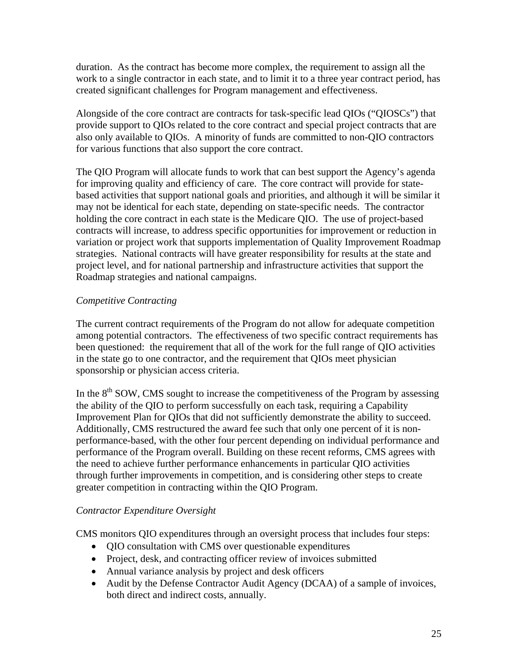duration. As the contract has become more complex, the requirement to assign all the work to a single contractor in each state, and to limit it to a three year contract period, has created significant challenges for Program management and effectiveness.

Alongside of the core contract are contracts for task-specific lead QIOs ("QIOSCs") that provide support to QIOs related to the core contract and special project contracts that are also only available to QIOs. A minority of funds are committed to non-QIO contractors for various functions that also support the core contract.

The QIO Program will allocate funds to work that can best support the Agency's agenda for improving quality and efficiency of care. The core contract will provide for statebased activities that support national goals and priorities, and although it will be similar it may not be identical for each state, depending on state-specific needs. The contractor holding the core contract in each state is the Medicare QIO. The use of project-based contracts will increase, to address specific opportunities for improvement or reduction in variation or project work that supports implementation of Quality Improvement Roadmap strategies. National contracts will have greater responsibility for results at the state and project level, and for national partnership and infrastructure activities that support the Roadmap strategies and national campaigns.

## *Competitive Contracting*

The current contract requirements of the Program do not allow for adequate competition among potential contractors. The effectiveness of two specific contract requirements has been questioned: the requirement that all of the work for the full range of QIO activities in the state go to one contractor, and the requirement that QIOs meet physician sponsorship or physician access criteria.

In the  $8<sup>th</sup>$  SOW, CMS sought to increase the competitiveness of the Program by assessing the ability of the QIO to perform successfully on each task, requiring a Capability Improvement Plan for QIOs that did not sufficiently demonstrate the ability to succeed. Additionally, CMS restructured the award fee such that only one percent of it is nonperformance-based, with the other four percent depending on individual performance and performance of the Program overall. Building on these recent reforms, CMS agrees with the need to achieve further performance enhancements in particular QIO activities through further improvements in competition, and is considering other steps to create greater competition in contracting within the QIO Program.

## *Contractor Expenditure Oversight*

CMS monitors QIO expenditures through an oversight process that includes four steps:

- QIO consultation with CMS over questionable expenditures
- Project, desk, and contracting officer review of invoices submitted
- Annual variance analysis by project and desk officers
- Audit by the Defense Contractor Audit Agency (DCAA) of a sample of invoices, both direct and indirect costs, annually.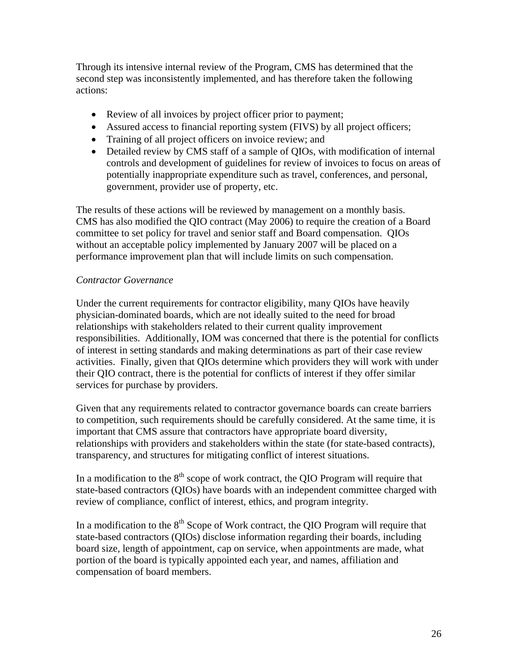Through its intensive internal review of the Program, CMS has determined that the second step was inconsistently implemented, and has therefore taken the following actions:

- Review of all invoices by project officer prior to payment;
- Assured access to financial reporting system (FIVS) by all project officers;
- Training of all project officers on invoice review; and
- Detailed review by CMS staff of a sample of QIOs, with modification of internal controls and development of guidelines for review of invoices to focus on areas of potentially inappropriate expenditure such as travel, conferences, and personal, government, provider use of property, etc.

The results of these actions will be reviewed by management on a monthly basis. CMS has also modified the QIO contract (May 2006) to require the creation of a Board committee to set policy for travel and senior staff and Board compensation. QIOs without an acceptable policy implemented by January 2007 will be placed on a performance improvement plan that will include limits on such compensation.

## *Contractor Governance*

Under the current requirements for contractor eligibility, many QIOs have heavily physician-dominated boards, which are not ideally suited to the need for broad relationships with stakeholders related to their current quality improvement responsibilities. Additionally, IOM was concerned that there is the potential for conflicts of interest in setting standards and making determinations as part of their case review activities. Finally, given that QIOs determine which providers they will work with under their QIO contract, there is the potential for conflicts of interest if they offer similar services for purchase by providers.

Given that any requirements related to contractor governance boards can create barriers to competition, such requirements should be carefully considered. At the same time, it is important that CMS assure that contractors have appropriate board diversity, relationships with providers and stakeholders within the state (for state-based contracts), transparency, and structures for mitigating conflict of interest situations.

In a modification to the  $8<sup>th</sup>$  scope of work contract, the QIO Program will require that state-based contractors (QIOs) have boards with an independent committee charged with review of compliance, conflict of interest, ethics, and program integrity.

In a modification to the  $8<sup>th</sup>$  Scope of Work contract, the QIO Program will require that state-based contractors (QIOs) disclose information regarding their boards, including board size, length of appointment, cap on service, when appointments are made, what portion of the board is typically appointed each year, and names, affiliation and compensation of board members.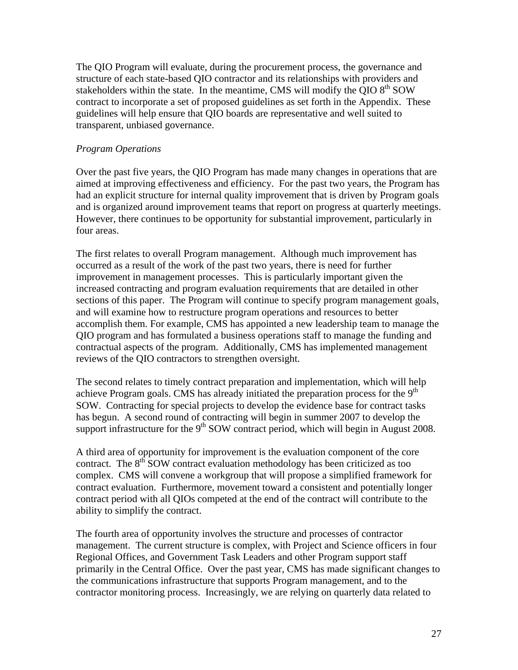The QIO Program will evaluate, during the procurement process, the governance and structure of each state-based QIO contractor and its relationships with providers and stakeholders within the state. In the meantime, CMS will modify the QIO  $8<sup>th</sup>$  SOW contract to incorporate a set of proposed guidelines as set forth in the Appendix. These guidelines will help ensure that QIO boards are representative and well suited to transparent, unbiased governance.

#### *Program Operations*

Over the past five years, the QIO Program has made many changes in operations that are aimed at improving effectiveness and efficiency. For the past two years, the Program has had an explicit structure for internal quality improvement that is driven by Program goals and is organized around improvement teams that report on progress at quarterly meetings. However, there continues to be opportunity for substantial improvement, particularly in four areas.

The first relates to overall Program management. Although much improvement has occurred as a result of the work of the past two years, there is need for further improvement in management processes. This is particularly important given the increased contracting and program evaluation requirements that are detailed in other sections of this paper. The Program will continue to specify program management goals, and will examine how to restructure program operations and resources to better accomplish them. For example, CMS has appointed a new leadership team to manage the QIO program and has formulated a business operations staff to manage the funding and contractual aspects of the program. Additionally, CMS has implemented management reviews of the QIO contractors to strengthen oversight.

The second relates to timely contract preparation and implementation, which will help achieve Program goals. CMS has already initiated the preparation process for the  $9<sup>th</sup>$ SOW. Contracting for special projects to develop the evidence base for contract tasks has begun. A second round of contracting will begin in summer 2007 to develop the support infrastructure for the  $9<sup>th</sup>$  SOW contract period, which will begin in August 2008.

A third area of opportunity for improvement is the evaluation component of the core contract. The  $8<sup>th</sup>$  SOW contract evaluation methodology has been criticized as too complex. CMS will convene a workgroup that will propose a simplified framework for contract evaluation. Furthermore, movement toward a consistent and potentially longer contract period with all QIOs competed at the end of the contract will contribute to the ability to simplify the contract.

The fourth area of opportunity involves the structure and processes of contractor management. The current structure is complex, with Project and Science officers in four Regional Offices, and Government Task Leaders and other Program support staff primarily in the Central Office. Over the past year, CMS has made significant changes to the communications infrastructure that supports Program management, and to the contractor monitoring process. Increasingly, we are relying on quarterly data related to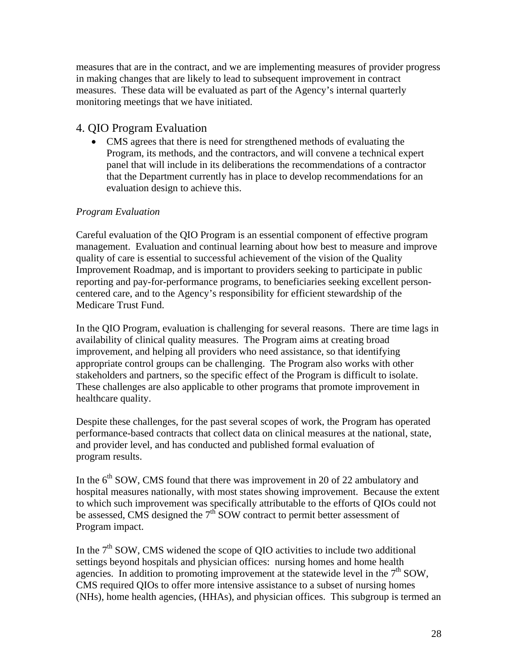measures that are in the contract, and we are implementing measures of provider progress in making changes that are likely to lead to subsequent improvement in contract measures. These data will be evaluated as part of the Agency's internal quarterly monitoring meetings that we have initiated.

# 4. QIO Program Evaluation

• CMS agrees that there is need for strengthened methods of evaluating the Program, its methods, and the contractors, and will convene a technical expert panel that will include in its deliberations the recommendations of a contractor that the Department currently has in place to develop recommendations for an evaluation design to achieve this.

## *Program Evaluation*

Careful evaluation of the QIO Program is an essential component of effective program management. Evaluation and continual learning about how best to measure and improve quality of care is essential to successful achievement of the vision of the Quality Improvement Roadmap, and is important to providers seeking to participate in public reporting and pay-for-performance programs, to beneficiaries seeking excellent personcentered care, and to the Agency's responsibility for efficient stewardship of the Medicare Trust Fund.

In the QIO Program, evaluation is challenging for several reasons. There are time lags in availability of clinical quality measures. The Program aims at creating broad improvement, and helping all providers who need assistance, so that identifying appropriate control groups can be challenging. The Program also works with other stakeholders and partners, so the specific effect of the Program is difficult to isolate. These challenges are also applicable to other programs that promote improvement in healthcare quality.

Despite these challenges, for the past several scopes of work, the Program has operated performance-based contracts that collect data on clinical measures at the national, state, and provider level, and has conducted and published formal evaluation of program results.

In the  $6<sup>th</sup>$  SOW, CMS found that there was improvement in 20 of 22 ambulatory and hospital measures nationally, with most states showing improvement. Because the extent to which such improvement was specifically attributable to the efforts of QIOs could not be assessed, CMS designed the  $7<sup>th</sup>$  SOW contract to permit better assessment of Program impact.

In the  $7<sup>th</sup>$  SOW, CMS widened the scope of QIO activities to include two additional settings beyond hospitals and physician offices: nursing homes and home health agencies. In addition to promoting improvement at the statewide level in the  $7<sup>th</sup>$  SOW, CMS required QIOs to offer more intensive assistance to a subset of nursing homes (NHs), home health agencies, (HHAs), and physician offices. This subgroup is termed an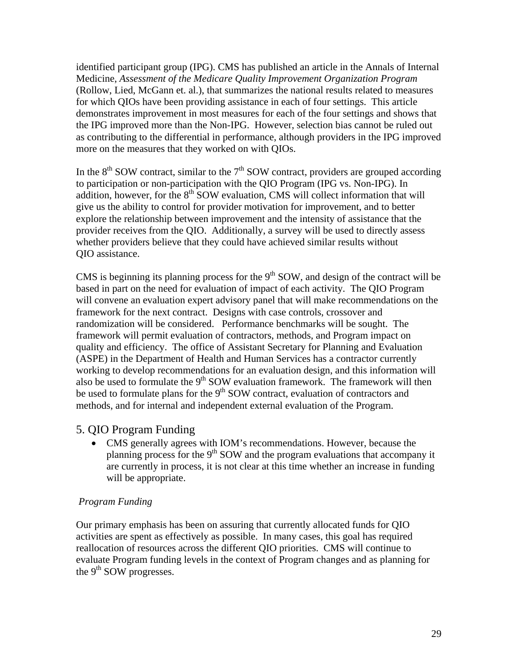identified participant group (IPG). CMS has published an article in the Annals of Internal Medicine, *Assessment of the Medicare Quality Improvement Organization Program*  (Rollow, Lied, McGann et. al.), that summarizes the national results related to measures for which QIOs have been providing assistance in each of four settings. This article demonstrates improvement in most measures for each of the four settings and shows that the IPG improved more than the Non-IPG. However, selection bias cannot be ruled out as contributing to the differential in performance, although providers in the IPG improved more on the measures that they worked on with QIOs.

In the  $8<sup>th</sup>$  SOW contract, similar to the  $7<sup>th</sup>$  SOW contract, providers are grouped according to participation or non-participation with the QIO Program (IPG vs. Non-IPG). In addition, however, for the  $8<sup>th</sup>$  SOW evaluation, CMS will collect information that will give us the ability to control for provider motivation for improvement, and to better explore the relationship between improvement and the intensity of assistance that the provider receives from the QIO. Additionally, a survey will be used to directly assess whether providers believe that they could have achieved similar results without QIO assistance.

CMS is beginning its planning process for the  $9<sup>th</sup>$  SOW, and design of the contract will be based in part on the need for evaluation of impact of each activity. The QIO Program will convene an evaluation expert advisory panel that will make recommendations on the framework for the next contract. Designs with case controls, crossover and randomization will be considered. Performance benchmarks will be sought. The framework will permit evaluation of contractors, methods, and Program impact on quality and efficiency. The office of Assistant Secretary for Planning and Evaluation (ASPE) in the Department of Health and Human Services has a contractor currently working to develop recommendations for an evaluation design, and this information will also be used to formulate the  $9<sup>th</sup>$  SOW evaluation framework. The framework will then be used to formulate plans for the  $9<sup>th</sup>$  SOW contract, evaluation of contractors and methods, and for internal and independent external evaluation of the Program.

## 5. QIO Program Funding

• CMS generally agrees with IOM's recommendations. However, because the planning process for the  $9<sup>th</sup>$  SOW and the program evaluations that accompany it are currently in process, it is not clear at this time whether an increase in funding will be appropriate.

## *Program Funding*

Our primary emphasis has been on assuring that currently allocated funds for QIO activities are spent as effectively as possible. In many cases, this goal has required reallocation of resources across the different QIO priorities. CMS will continue to evaluate Program funding levels in the context of Program changes and as planning for the  $9<sup>th</sup>$  SOW progresses.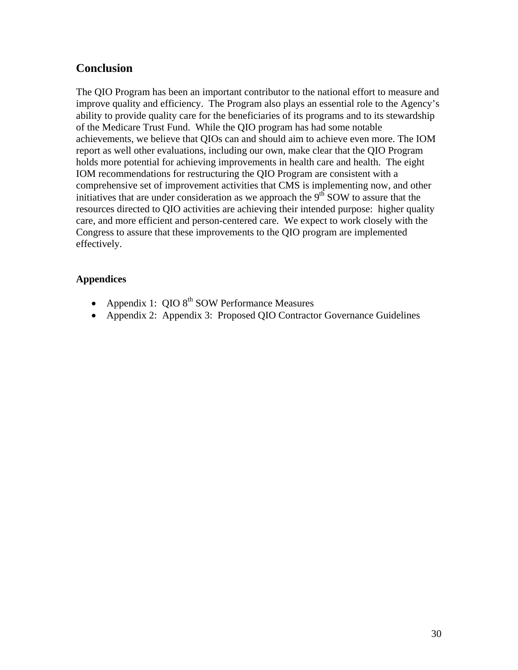# **Conclusion**

The QIO Program has been an important contributor to the national effort to measure and improve quality and efficiency. The Program also plays an essential role to the Agency's ability to provide quality care for the beneficiaries of its programs and to its stewardship of the Medicare Trust Fund. While the QIO program has had some notable achievements, we believe that QIOs can and should aim to achieve even more. The IOM report as well other evaluations, including our own, make clear that the QIO Program holds more potential for achieving improvements in health care and health. The eight IOM recommendations for restructuring the QIO Program are consistent with a comprehensive set of improvement activities that CMS is implementing now, and other initiatives that are under consideration as we approach the  $9<sup>th</sup>$  SOW to assure that the resources directed to QIO activities are achieving their intended purpose: higher quality care, and more efficient and person-centered care. We expect to work closely with the Congress to assure that these improvements to the QIO program are implemented effectively.

## **Appendices**

- Appendix 1:  $QIO 8<sup>th</sup>$  SOW Performance Measures
- Appendix 2: Appendix 3: Proposed OIO Contractor Governance Guidelines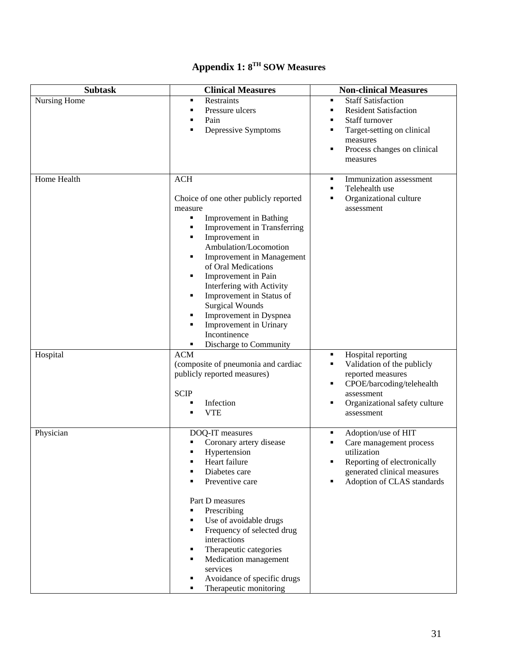| <b>Subtask</b> | <b>Clinical Measures</b>                                                                                                                                                                                                                                                                                                                                                                                                                                                           | <b>Non-clinical Measures</b>                                                                                                                                                              |
|----------------|------------------------------------------------------------------------------------------------------------------------------------------------------------------------------------------------------------------------------------------------------------------------------------------------------------------------------------------------------------------------------------------------------------------------------------------------------------------------------------|-------------------------------------------------------------------------------------------------------------------------------------------------------------------------------------------|
| Nursing Home   | Restraints<br>٠<br>Pressure ulcers<br>п<br>Pain<br>٠<br>Depressive Symptoms                                                                                                                                                                                                                                                                                                                                                                                                        | <b>Staff Satisfaction</b><br>٠<br><b>Resident Satisfaction</b><br>٠<br>Staff turnover<br>٠<br>Target-setting on clinical<br>٠<br>measures<br>Process changes on clinical<br>٠<br>measures |
| Home Health    | <b>ACH</b><br>Choice of one other publicly reported<br>measure<br>Improvement in Bathing<br>٠<br>Improvement in Transferring<br>٠<br>Improvement in<br>٠<br>Ambulation/Locomotion<br><b>Improvement</b> in Management<br>٠<br>of Oral Medications<br>Improvement in Pain<br>٠<br>Interfering with Activity<br>Improvement in Status of<br>٠<br><b>Surgical Wounds</b><br>Improvement in Dyspnea<br>٠<br>Improvement in Urinary<br>٠<br>Incontinence<br>Discharge to Community<br>٠ | Immunization assessment<br>٠<br>Telehealth use<br>п<br>Organizational culture<br>٠<br>assessment                                                                                          |
| Hospital       | <b>ACM</b><br>(composite of pneumonia and cardiac<br>publicly reported measures)<br><b>SCIP</b><br>Infection<br>٠<br><b>VTE</b>                                                                                                                                                                                                                                                                                                                                                    | Hospital reporting<br>٠<br>Validation of the publicly<br>٠<br>reported measures<br>CPOE/barcoding/telehealth<br>٠<br>assessment<br>Organizational safety culture<br>٠<br>assessment       |
| Physician      | DOQ-IT measures<br>Coronary artery disease<br>Hypertension<br>Heart failure<br>Diabetes care<br>Preventive care<br>Part D measures<br>Prescribing<br>Use of avoidable drugs<br>٠<br>Frequency of selected drug<br>٠<br>interactions<br>Therapeutic categories<br>٠<br>Medication management<br>٠<br>services<br>Avoidance of specific drugs<br>Therapeutic monitoring<br>٠                                                                                                         | Adoption/use of HIT<br>٠<br>Care management process<br>٠<br>utilization<br>Reporting of electronically<br>generated clinical measures<br>Adoption of CLAS standards                       |

# **Appendix 1: 8TH SOW Measures**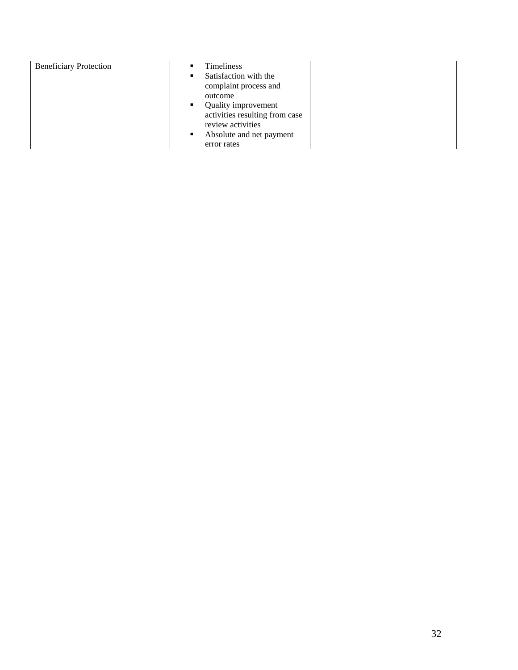| <b>Beneficiary Protection</b> | <b>Timeliness</b><br>٠<br>Satisfaction with the<br>٠<br>complaint process and<br>outcome<br><b>Quality improvement</b><br>٠<br>activities resulting from case<br>review activities<br>Absolute and net payment<br>٠ |  |
|-------------------------------|---------------------------------------------------------------------------------------------------------------------------------------------------------------------------------------------------------------------|--|
|                               | error rates                                                                                                                                                                                                         |  |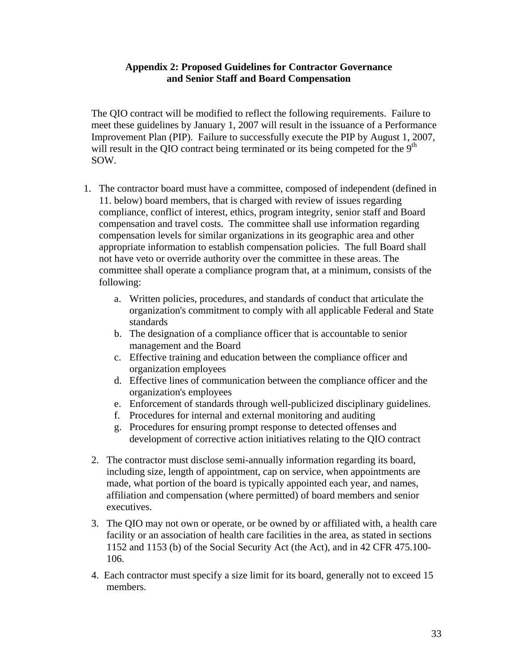#### **Appendix 2: Proposed Guidelines for Contractor Governance and Senior Staff and Board Compensation**

The QIO contract will be modified to reflect the following requirements. Failure to meet these guidelines by January 1, 2007 will result in the issuance of a Performance Improvement Plan (PIP). Failure to successfully execute the PIP by August 1, 2007, will result in the QIO contract being terminated or its being competed for the  $9<sup>th</sup>$ SOW.

- 1. The contractor board must have a committee, composed of independent (defined in 11. below) board members, that is charged with review of issues regarding compliance, conflict of interest, ethics, program integrity, senior staff and Board compensation and travel costs. The committee shall use information regarding compensation levels for similar organizations in its geographic area and other appropriate information to establish compensation policies. The full Board shall not have veto or override authority over the committee in these areas. The committee shall operate a compliance program that, at a minimum, consists of the following:
	- a. Written policies, procedures, and standards of conduct that articulate the organization's commitment to comply with all applicable Federal and State standards
	- b. The designation of a compliance officer that is accountable to senior management and the Board
	- c. Effective training and education between the compliance officer and organization employees
	- d. Effective lines of communication between the compliance officer and the organization's employees
	- e. Enforcement of standards through well-publicized disciplinary guidelines.
	- f. Procedures for internal and external monitoring and auditing
	- g. Procedures for ensuring prompt response to detected offenses and development of corrective action initiatives relating to the QIO contract
	- 2. The contractor must disclose semi-annually information regarding its board, including size, length of appointment, cap on service, when appointments are made, what portion of the board is typically appointed each year, and names, affiliation and compensation (where permitted) of board members and senior executives.
	- 3. The QIO may not own or operate, or be owned by or affiliated with, a health care facility or an association of health care facilities in the area, as stated in sections 1152 and 1153 (b) of the Social Security Act (the Act), and in 42 CFR 475.100- 106.
	- 4. Each contractor must specify a size limit for its board, generally not to exceed 15 members.